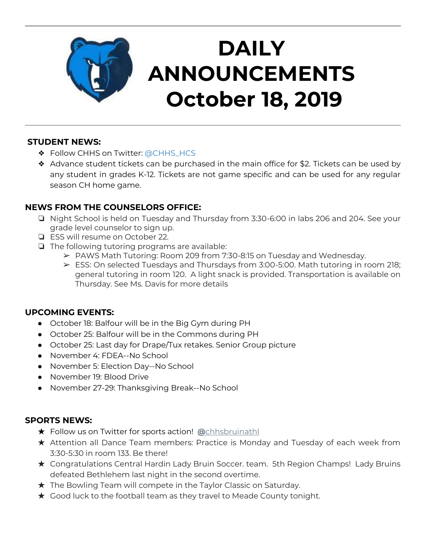

# **DAILY ANNOUNCEMENTS October 18, 2019**

### **STUDENT NEWS:**

- ❖ Follow CHHS on Twitter: [@CHHS\\_HCS](https://twitter.com/CHHS_HCS)
- ❖ Advance student tickets can be purchased in the main office for \$2. Tickets can be used by any student in grades K-12. Tickets are not game specific and can be used for any regular season CH home game.

## **NEWS FROM THE COUNSELORS OFFICE:**

- ❏ Night School is held on Tuesday and Thursday from 3:30-6:00 in labs 206 and 204. See your grade level counselor to sign up.
- ❏ ESS will resume on October 22.
- ❏ The following tutoring programs are available:
	- ➢ PAWS Math Tutoring: Room 209 from 7:30-8:15 on Tuesday and Wednesday.
	- $\triangleright$  ESS: On selected Tuesdays and Thursdays from 3:00-5:00. Math tutoring in room 218; general tutoring in room 120. A light snack is provided. Transportation is available on Thursday. See Ms. Davis for more details

#### **UPCOMING EVENTS:**

- October 18: Balfour will be in the Big Gym during PH
- October 25: Balfour will be in the Commons during PH
- October 25: Last day for Drape/Tux retakes. Senior Group picture
- November 4: FDEA--No School
- November 5: Election Day--No School
- November 19: Blood Drive
- November 27-29: Thanksgiving Break--No School

### **SPORTS NEWS:**

- ★ Follow us on Twitter for sports action! **[@](https://twitter.com/chhsbruinathl)**[chhsbruinathl](https://twitter.com/chhsbruinathl)
- ★ Attention all Dance Team members: Practice is Monday and Tuesday of each week from 3:30-5:30 in room 133. Be there!
- ★ Congratulations Central Hardin Lady Bruin Soccer. team. 5th Region Champs! Lady Bruins defeated Bethlehem last night in the second overtime.
- ★ The Bowling Team will compete in the Taylor Classic on Saturday.
- $\star$  Good luck to the football team as they travel to Meade County tonight.